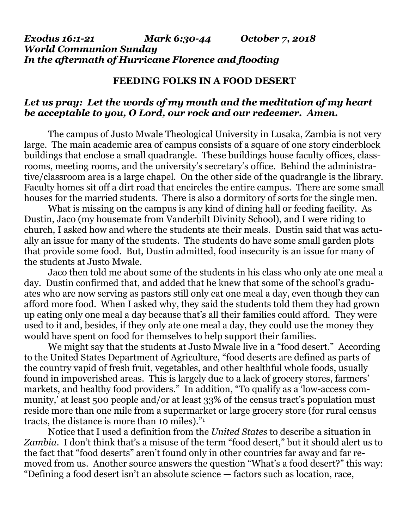## *Exodus 16:1-21 Mark 6:30-44 October 7, 2018 World Communion Sunday In the aftermath of Hurricane Florence and flooding*

## **FEEDING FOLKS IN A FOOD DESERT**

## *Let us pray: Let the words of my mouth and the meditation of my heart be acceptable to you, O Lord, our rock and our redeemer. Amen.*

The campus of Justo Mwale Theological University in Lusaka, Zambia is not very large. The main academic area of campus consists of a square of one story cinderblock buildings that enclose a small quadrangle. These buildings house faculty offices, classrooms, meeting rooms, and the university's secretary's office. Behind the administrative/classroom area is a large chapel. On the other side of the quadrangle is the library. Faculty homes sit off a dirt road that encircles the entire campus. There are some small houses for the married students. There is also a dormitory of sorts for the single men.

What is missing on the campus is any kind of dining hall or feeding facility. As Dustin, Jaco (my housemate from Vanderbilt Divinity School), and I were riding to church, I asked how and where the students ate their meals. Dustin said that was actually an issue for many of the students. The students do have some small garden plots that provide some food. But, Dustin admitted, food insecurity is an issue for many of the students at Justo Mwale.

Jaco then told me about some of the students in his class who only ate one meal a day. Dustin confirmed that, and added that he knew that some of the school's graduates who are now serving as pastors still only eat one meal a day, even though they can afford more food. When I asked why, they said the students told them they had grown up eating only one meal a day because that's all their families could afford. They were used to it and, besides, if they only ate one meal a day, they could use the money they would have spent on food for themselves to help support their families.

We might say that the students at Justo Mwale live in a "food desert." According to the United States Department of Agriculture, "food deserts are defined as parts of the country vapid of fresh fruit, vegetables, and other healthful whole foods, usually found in impoverished areas. This is largely due to a lack of grocery stores, farmers' markets, and healthy food providers." In addition, "To qualify as a 'low-access community,' at least 500 people and/or at least 33% of the census tract's population must reside more than one mile from a supermarket or large grocery store (for rural census tracts, the distance is more than 10 miles)."<sup>1</sup>

Notice that I used a definition from the *United States* to describe a situation in *Zambia*. I don't think that's a misuse of the term "food desert," but it should alert us to the fact that "food deserts" aren't found only in other countries far away and far removed from us. Another source answers the question "What's a food desert?" this way: "Defining a food desert isn't an absolute science — factors such as location, race,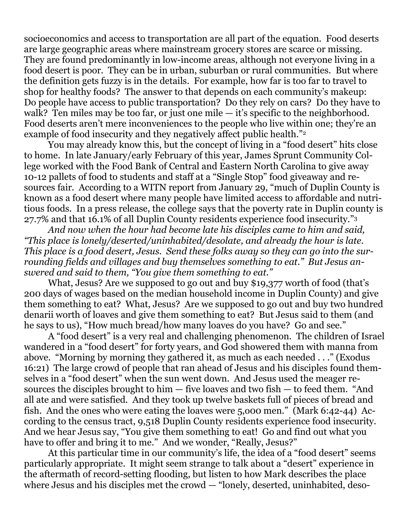socioeconomics and access to transportation are all part of the equation. Food deserts are large geographic areas where mainstream grocery stores are scarce or missing. They are found predominantly in low-income areas, although not everyone living in a food desert is poor. They can be in urban, suburban or rural communities. But where the definition gets fuzzy is in the details. For example, how far is too far to travel to shop for healthy foods? The answer to that depends on each community's makeup: Do people have access to public transportation? Do they rely on cars? Do they have to walk? Ten miles may be too far, or just one mile — it's specific to the neighborhood. Food deserts aren't mere inconveniences to the people who live within one; they're an example of food insecurity and they negatively affect public health."<sup>2</sup>

You may already know this, but the concept of living in a "food desert" hits close to home. In late January/early February of this year, James Sprunt Community College worked with the Food Bank of Central and Eastern North Carolina to give away 10-12 pallets of food to students and staff at a "Single Stop" food giveaway and resources fair. According to a WITN report from January 29, "much of Duplin County is known as a food desert where many people have limited access to affordable and nutritious foods. In a press release, the college says that the poverty rate in Duplin county is 27.7% and that 16.1% of all Duplin County residents experience food insecurity."<sup>3</sup>

*And now when the hour had become late his disciples came to him and said, "This place is lonely/deserted/uninhabited/desolate, and already the hour is late. This place is a food desert, Jesus. Send these folks away so they can go into the surrounding fields and villages and buy themselves something to eat." But Jesus answered and said to them, "You give them something to eat."*

What, Jesus? Are we supposed to go out and buy \$19,377 worth of food (that's 200 days of wages based on the median household income in Duplin County) and give them something to eat? What, Jesus? Are we supposed to go out and buy two hundred denarii worth of loaves and give them something to eat? But Jesus said to them (and he says to us), "How much bread/how many loaves do you have? Go and see."

A "food desert" is a very real and challenging phenomenon. The children of Israel wandered in a "food desert" for forty years, and God showered them with manna from above. "Morning by morning they gathered it, as much as each needed . . ." (Exodus 16:21) The large crowd of people that ran ahead of Jesus and his disciples found themselves in a "food desert" when the sun went down. And Jesus used the meager resources the disciples brought to him — five loaves and two fish — to feed them. "And all ate and were satisfied. And they took up twelve baskets full of pieces of bread and fish. And the ones who were eating the loaves were 5,o00 men." (Mark 6:42-44) According to the census tract, 9,518 Duplin County residents experience food insecurity. And we hear Jesus say, "You give them something to eat! Go and find out what you have to offer and bring it to me." And we wonder, "Really, Jesus?"

At this particular time in our community's life, the idea of a "food desert" seems particularly appropriate. It might seem strange to talk about a "desert" experience in the aftermath of record-setting flooding, but listen to how Mark describes the place where Jesus and his disciples met the crowd — "lonely, deserted, uninhabited, deso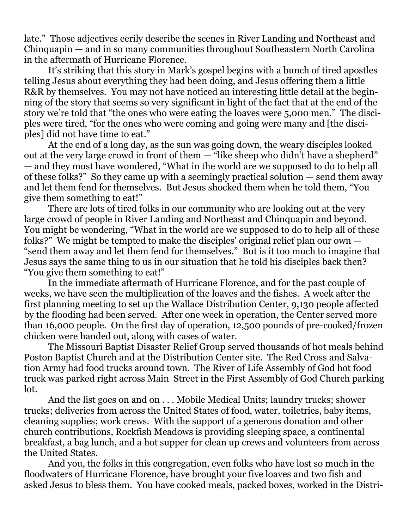late." Those adjectives eerily describe the scenes in River Landing and Northeast and Chinquapin — and in so many communities throughout Southeastern North Carolina in the aftermath of Hurricane Florence.

It's striking that this story in Mark's gospel begins with a bunch of tired apostles telling Jesus about everything they had been doing, and Jesus offering them a little R&R by themselves. You may not have noticed an interesting little detail at the beginning of the story that seems so very significant in light of the fact that at the end of the story we're told that "the ones who were eating the loaves were 5,000 men." The disciples were tired, "for the ones who were coming and going were many and [the disciples] did not have time to eat."

At the end of a long day, as the sun was going down, the weary disciples looked out at the very large crowd in front of them — "like sheep who didn't have a shepherd" — and they must have wondered, "What in the world are we supposed to do to help all of these folks?" So they came up with a seemingly practical solution — send them away and let them fend for themselves. But Jesus shocked them when he told them, "You give them something to eat!"

There are lots of tired folks in our community who are looking out at the very large crowd of people in River Landing and Northeast and Chinquapin and beyond. You might be wondering, "What in the world are we supposed to do to help all of these folks?" We might be tempted to make the disciples' original relief plan our own — "send them away and let them fend for themselves." But is it too much to imagine that Jesus says the same thing to us in our situation that he told his disciples back then? "You give them something to eat!"

In the immediate aftermath of Hurricane Florence, and for the past couple of weeks, we have seen the multiplication of the loaves and the fishes. A week after the first planning meeting to set up the Wallace Distribution Center, 9,130 people affected by the flooding had been served. After one week in operation, the Center served more than 16,000 people. On the first day of operation, 12,500 pounds of pre-cooked/frozen chicken were handed out, along with cases of water.

The Missouri Baptist Disaster Relief Group served thousands of hot meals behind Poston Baptist Church and at the Distribution Center site. The Red Cross and Salvation Army had food trucks around town. The River of Life Assembly of God hot food truck was parked right across Main Street in the First Assembly of God Church parking lot.

And the list goes on and on . . . Mobile Medical Units; laundry trucks; shower trucks; deliveries from across the United States of food, water, toiletries, baby items, cleaning supplies; work crews. With the support of a generous donation and other church contributions, Rockfish Meadows is providing sleeping space, a continental breakfast, a bag lunch, and a hot supper for clean up crews and volunteers from across the United States.

And you, the folks in this congregation, even folks who have lost so much in the floodwaters of Hurricane Florence, have brought your five loaves and two fish and asked Jesus to bless them. You have cooked meals, packed boxes, worked in the Distri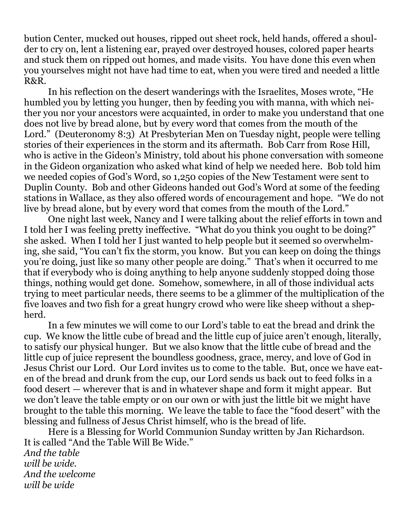bution Center, mucked out houses, ripped out sheet rock, held hands, offered a shoulder to cry on, lent a listening ear, prayed over destroyed houses, colored paper hearts and stuck them on ripped out homes, and made visits. You have done this even when you yourselves might not have had time to eat, when you were tired and needed a little R&R.

In his reflection on the desert wanderings with the Israelites, Moses wrote, "He humbled you by letting you hunger, then by feeding you with manna, with which neither you nor your ancestors were acquainted, in order to make you understand that one does not live by bread alone, but by every word that comes from the mouth of the Lord." (Deuteronomy 8:3) At Presbyterian Men on Tuesday night, people were telling stories of their experiences in the storm and its aftermath. Bob Carr from Rose Hill, who is active in the Gideon's Ministry, told about his phone conversation with someone in the Gideon organization who asked what kind of help we needed here. Bob told him we needed copies of God's Word, so 1,250 copies of the New Testament were sent to Duplin County. Bob and other Gideons handed out God's Word at some of the feeding stations in Wallace, as they also offered words of encouragement and hope. "We do not live by bread alone, but by every word that comes from the mouth of the Lord."

One night last week, Nancy and I were talking about the relief efforts in town and I told her I was feeling pretty ineffective. "What do you think you ought to be doing?" she asked. When I told her I just wanted to help people but it seemed so overwhelming, she said, "You can't fix the storm, you know. But you can keep on doing the things you're doing, just like so many other people are doing." That's when it occurred to me that if everybody who is doing anything to help anyone suddenly stopped doing those things, nothing would get done. Somehow, somewhere, in all of those individual acts trying to meet particular needs, there seems to be a glimmer of the multiplication of the five loaves and two fish for a great hungry crowd who were like sheep without a shepherd.

In a few minutes we will come to our Lord's table to eat the bread and drink the cup. We know the little cube of bread and the little cup of juice aren't enough, literally, to satisfy our physical hunger. But we also know that the little cube of bread and the little cup of juice represent the boundless goodness, grace, mercy, and love of God in Jesus Christ our Lord. Our Lord invites us to come to the table. But, once we have eaten of the bread and drunk from the cup, our Lord sends us back out to feed folks in a food desert — wherever that is and in whatever shape and form it might appear. But we don't leave the table empty or on our own or with just the little bit we might have brought to the table this morning. We leave the table to face the "food desert" with the blessing and fullness of Jesus Christ himself, who is the bread of life.

Here is a Blessing for World Communion Sunday written by Jan Richardson. It is called "And the Table Will Be Wide." *And the table will be wide. And the welcome will be wide*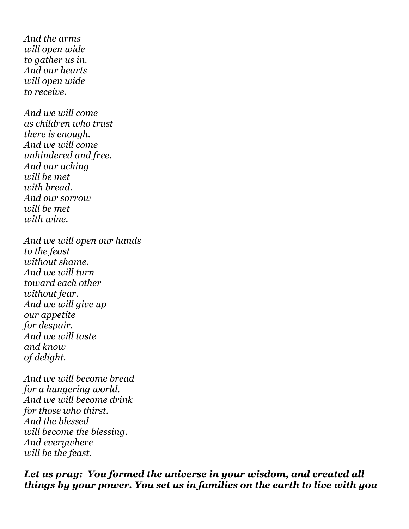*And the arms will open wide to gather us in. And our hearts will open wide to receive.*

*And we will come as children who trust there is enough. And we will come unhindered and free. And our aching will be met with bread. And our sorrow will be met with wine.*

*And we will open our hands to the feast without shame. And we will turn toward each other without fear. And we will give up our appetite for despair. And we will taste and know of delight.*

*And we will become bread for a hungering world. And we will become drink for those who thirst. And the blessed will become the blessing. And everywhere will be the feast.*

*Let us pray: You formed the universe in your wisdom, and created all things by your power. You set us in families on the earth to live with you*